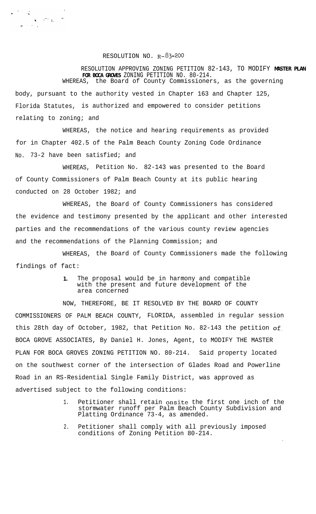## RESOLUTION NO.  $R-\text{}^{8}3-\text{}^{2}00$

 $\mathcal{F} \in \mathcal{G}$ 

RESOLUTION APPROVING ZONING PETITION 82-143, TO MODIFY **MASTER PLAN FOR BOCA GROVES** ZONING PETITION NO. 80-214. WHEREAS, the Board of County Commissioners, as the governing body, pursuant to the authority vested in Chapter 163 and Chapter 125, Florida Statutes, is authorized and empowered to consider petitions relating to zoning; and

WHEREAS, the notice and hearing requirements as provided for in Chapter 402.5 of the Palm Beach County Zoning Code Ordinance No. 73-2 have been satisfied; and

WHEREAS, Petition No. 82-143 was presented to the Board of County Commissioners of Palm Beach County at its public hearing conducted on 28 October 1982; and

WHEREAS, the Board of County Commissioners has considered the evidence and testimony presented by the applicant and other interested parties and the recommendations of the various county review agencies and the recommendations of the Planning Commission; and

WHEREAS, the Board of County Commissioners made the following findings of fact:

> **1.** The proposal would be in harmony and compatible with the present and future development of the area concerned

NOW, THEREFORE, BE IT RESOLVED BY THE BOARD OF COUNTY COMMISSIONERS OF PALM BEACH COUNTY, FLORIDA, assembled in regular session this 28th day of October, 1982, that Petition No. 82-143 the petition of. BOCA GROVE ASSOCIATES, By Daniel H. Jones, Agent, to MODIFY THE MASTER PLAN FOR BOCA GROVES ZONING PETITION NO. 80-214. Said property located on the southwest corner of the intersection of Glades Road and Powerline Road in an RS-Residential Single Family District, was approved as advertised subject to the following conditions:

> 1. Petitioner shall retain onsite the first one inch of the stormwater runoff per Palm Beach County Subdivision and Platting Ordinance 73-4, as amended.

> > .

2. Petitioner shall comply with all previously imposed conditions of Zoning Petition 80-214.